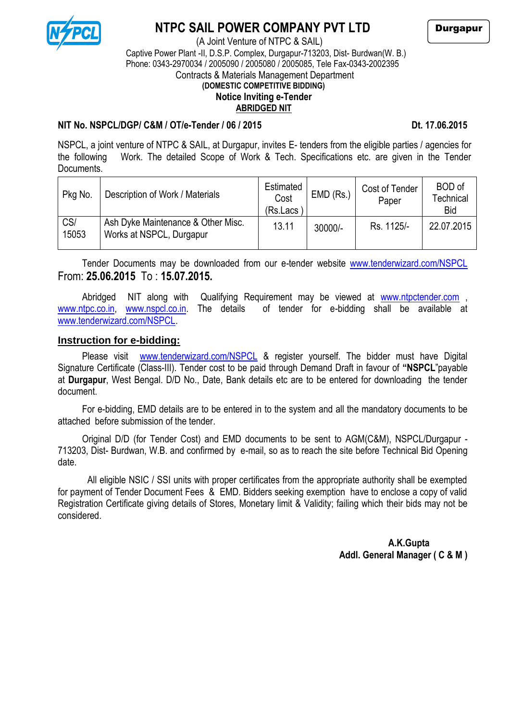

## **NTPC SAIL POWER COMPANY PVT LTD**

 (A Joint Venture of NTPC & SAIL) Captive Power Plant -II, D.S.P. Complex, Durgapur-713203, Dist- Burdwan(W. B.) Phone: 0343-2970034 / 2005090 / 2005080 / 2005085, Tele Fax-0343-2002395 Contracts & Materials Management Department **(DOMESTIC COMPETITIVE BIDDING) Notice Inviting e-Tender ABRIDGED NIT**

#### **NIT No. NSPCL/DGP/ C&M / OT/e-Tender / 06 / 2015 Dt. 17.06.2015**

NSPCL, a joint venture of NTPC & SAIL, at Durgapur, invites E- tenders from the eligible parties / agencies for the following Work. The detailed Scope of Work & Tech. Specifications etc. are given in the Tender Documents.

| Pkg No.      | Description of Work / Materials                                | Estimated<br>Cost<br>(Rs.Lacs | $EMD$ (Rs.) | Cost of Tender<br>Paper | BOD of<br>Technical<br><b>Bid</b> |
|--------------|----------------------------------------------------------------|-------------------------------|-------------|-------------------------|-----------------------------------|
| CS/<br>15053 | Ash Dyke Maintenance & Other Misc.<br>Works at NSPCL, Durgapur | 13.11                         | $30000/-$   | Rs. 1125/-              | 22.07.2015                        |

Tender Documents may be downloaded from our e-tender website [www.tenderwizard.com/NSPCL](http://www.tenderwizard.com/NSPCL%20From:%2025.06.2015) From: **[25.06.2015](http://www.tenderwizard.com/NSPCL%20From:%2025.06.2015)** To : **15.07.2015.**

Abridged NIT along with Qualifying Requirement may be viewed at [www.ntpctender.com](http://www.ntpctender.com/) [www.ntpc.co.in,](http://www.ntpc.co.in/) [www.nspcl.co.in.](http://www.nspcl.co.in/) The details of tender for e-bidding shall be available at [www.tenderwizard.com/NSPCL.](http://www.tenderwizard.com/NSPCL)

#### **Instruction for e-bidding:**

Please visit [www.tenderwizard.com/NSPCL](http://www.tenderwizard.com/NSPCL) & register yourself. The bidder must have Digital Signature Certificate (Class-III). Tender cost to be paid through Demand Draft in favour of **"NSPCL**"payable at **Durgapur**, West Bengal. D/D No., Date, Bank details etc are to be entered for downloading the tender document.

For e-bidding, EMD details are to be entered in to the system and all the mandatory documents to be attached before submission of the tender.

Original D/D (for Tender Cost) and EMD documents to be sent to AGM(C&M), NSPCL/Durgapur - 713203, Dist- Burdwan, W.B. and confirmed by e-mail, so as to reach the site before Technical Bid Opening date.

 All eligible NSIC / SSI units with proper certificates from the appropriate authority shall be exempted for payment of Tender Document Fees & EMD. Bidders seeking exemption have to enclose a copy of valid Registration Certificate giving details of Stores, Monetary limit & Validity; failing which their bids may not be considered.

 **A.K.Gupta Addl. General Manager ( C & M )**